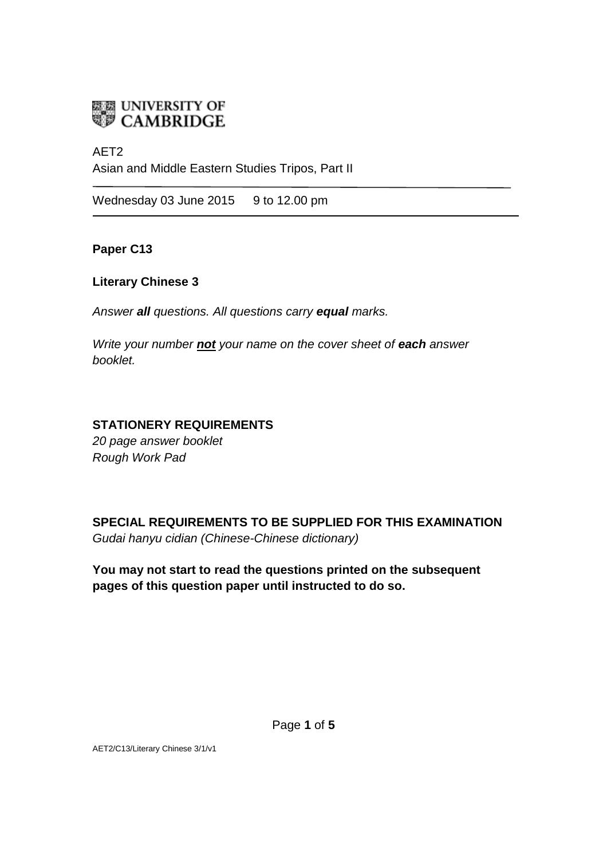

# AET2

Asian and Middle Eastern Studies Tripos, Part II

Wednesday 03 June 2015 9 to 12.00 pm

**Paper C13**

## **Literary Chinese 3**

*Answer all questions. All questions carry equal marks.*

*Write your number not your name on the cover sheet of each answer booklet.* 

# **STATIONERY REQUIREMENTS**

*20 page answer booklet Rough Work Pad*

**SPECIAL REQUIREMENTS TO BE SUPPLIED FOR THIS EXAMINATION** *Gudai hanyu cidian (Chinese-Chinese dictionary)*

**You may not start to read the questions printed on the subsequent pages of this question paper until instructed to do so.**

AET2/C13/Literary Chinese 3/1/v1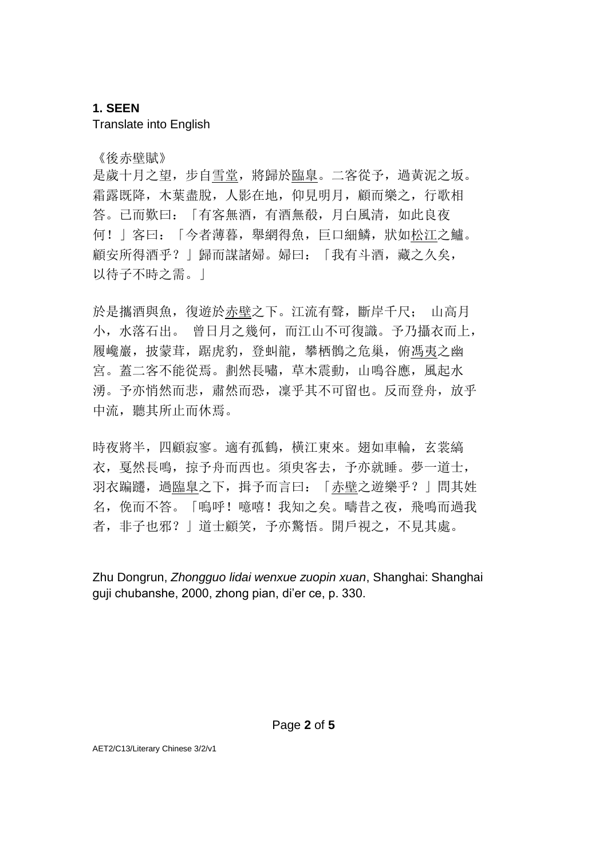## **1. SEEN**

Translate into English

《後赤壁賦》

是歲十月之望,步自雪堂,將歸於臨臯。二客從予,過黃泥之坂。 霜露既降,木葉盡脫,人影在地,仰見明月,顧而樂之,行歌相 答。已而歎曰:「有客無酒,有酒無殽,月白風清,如此良夜 何!」客曰:「今者薄暮,舉網得魚,巨口細鱗,狀如松江之鱸。 顧安所得酒乎? | 歸而謀諸婦。婦曰: 「我有斗酒, 藏之久矣, 以待子不時之需。」

於是攜酒與魚,復遊於赤壁之下。江流有聲,斷岸千尺; 山高月 小,水落石出。 曾日月之幾何,而江山不可復識。予乃攝衣而上, 履巉巖,披蒙茸,踞虎豹,登虯龍,攀栖鶻之危巢,俯馮夷之幽 宮。蓋二客不能從焉。劃然長嘯,草木震動,山鳴谷應,風起水 湧。予亦悄然而悲,肅然而恐, 凛乎其不可留也。反而登舟, 放乎 中流, 聽其所止而休焉。

時夜將半,四顧寂寥。適有孤鶴,橫江東來。翅如車輪,玄裳縞 衣,戛然長鳴,掠予舟而西也。須臾客去,予亦就睡。夢一道士, 羽衣蹁躚, 過臨臯之下, 揖予而言曰: 「赤壁之遊樂乎?」問其姓 名,俛而不答。「嗚呼!噫嘻!我知之矣。疇昔之夜,飛鳴而過我 者, 非子也邪?」道士顧笑, 予亦驚悟。開戶視之, 不見其處。

Zhu Dongrun, *Zhongguo lidai wenxue zuopin xuan*, Shanghai: Shanghai guji chubanshe, 2000, zhong pian, di'er ce, p. 330.

AET2/C13/Literary Chinese 3/2/v1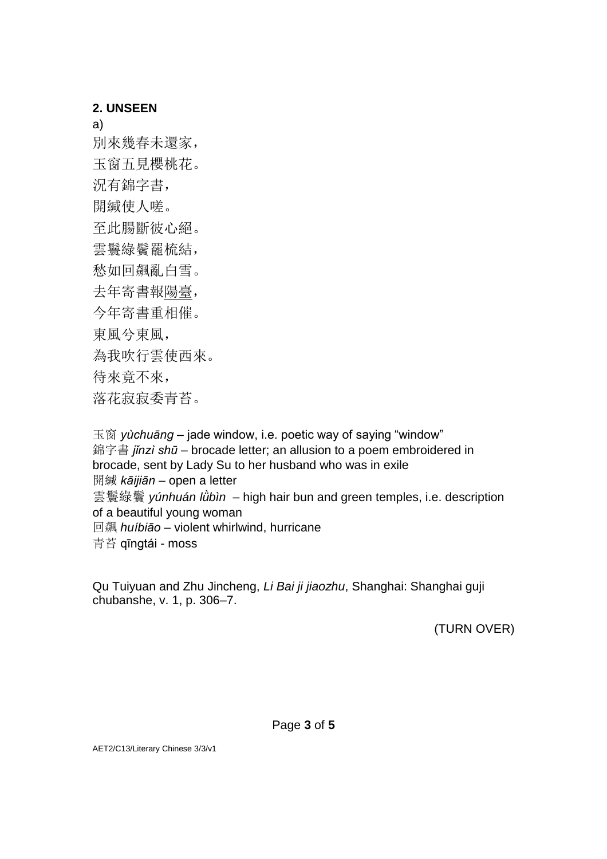## **2. UNSEEN**

a)

別來幾春未還家,

玉窗五見櫻桃花。

況有錦字書,

開緘使人嗟。

至此腸斷彼心絕。

雲鬟綠鬢罷梳結,

愁如回飆亂白雪。

去年寄書報陽臺,

今年寄書重相催。

東風兮東風,

為我吹行雲使西來。

待來竟不來,

落花寂寂委青苔。

玉窗 *yùchuāng* – jade window, i.e. poetic way of saying "window" 錦字書 *jǐnzì shū* – brocade letter; an allusion to a poem embroidered in brocade, sent by Lady Su to her husband who was in exile 開緘 *kāijiān* – open a letter 雲鬟綠鬢 *yúnhuán lǜbìn* – high hair bun and green temples, i.e. description of a beautiful young woman 回飆 *huíbiāo* – violent whirlwind, hurricane 青苔 qīngtái - moss

Qu Tuiyuan and Zhu Jincheng, *Li Bai ji jiaozhu*, Shanghai: Shanghai guji chubanshe, v. 1, p. 306–7.

(TURN OVER)

AET2/C13/Literary Chinese 3/3/v1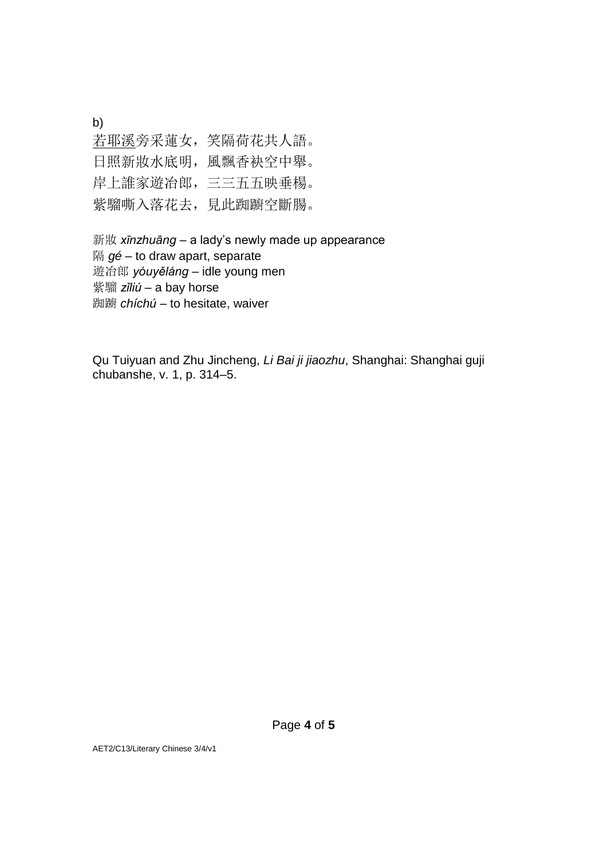b)

若耶溪旁采蓮女,笑隔荷花共人語。 日照新妝水底明,風飄香袂空中舉。 岸上誰家遊冶郎,三三五五映垂楊。 紫騮嘶入落花去,見此踟躕空斷腸。

新妝 *xīnzhuāng* – a lady's newly made up appearance 隔 *gé* – to draw apart, separate 遊冶郎 *yóuyěláng* – idle young men 紫騮 *zǐliú* – a bay horse 踟躕 *chíchú* – to hesitate, waiver

Qu Tuiyuan and Zhu Jincheng, *Li Bai ji jiaozhu*, Shanghai: Shanghai guji chubanshe, v. 1, p. 314–5.